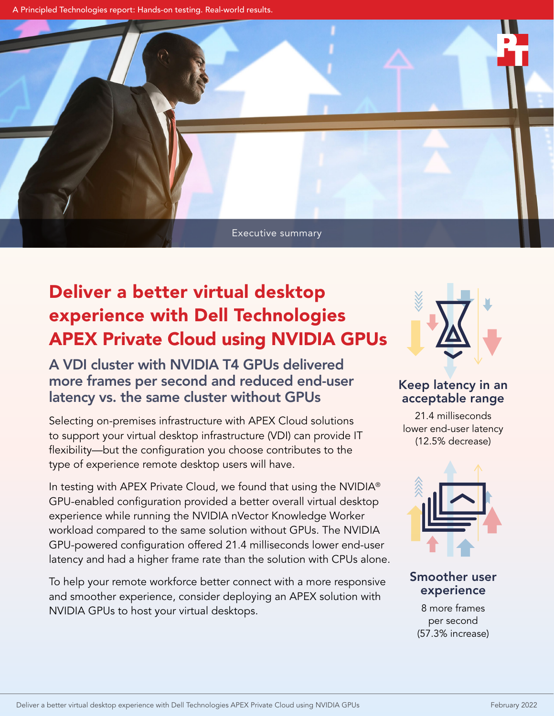A Principled Technologies report: Hands-on testing. Real-world results.



## Deliver a better virtual desktop experience with Dell Technologies APEX Private Cloud using NVIDIA GPUs

A VDI cluster with NVIDIA T4 GPUs delivered more frames per second and reduced end-user latency vs. the same cluster without GPUs

Selecting on-premises infrastructure with APEX Cloud solutions to support your virtual desktop infrastructure (VDI) can provide IT flexibility—but the configuration you choose contributes to the type of experience remote desktop users will have.

In testing with APEX Private Cloud, we found that using the NVIDIA® GPU-enabled configuration provided a better overall virtual desktop experience while running the NVIDIA nVector Knowledge Worker workload compared to the same solution without GPUs. The NVIDIA GPU-powered configuration offered 21.4 milliseconds lower end-user latency and had a higher frame rate than the solution with CPUs alone.

To help your remote workforce better connect with a more responsive and smoother experience, consider deploying an APEX solution with NVIDIA GPUs to host your virtual desktops.



Keep latency in an acceptable range

21.4 milliseconds lower end-user latency (12.5% decrease)



Smoother user experience

8 more frames per second (57.3% increase)